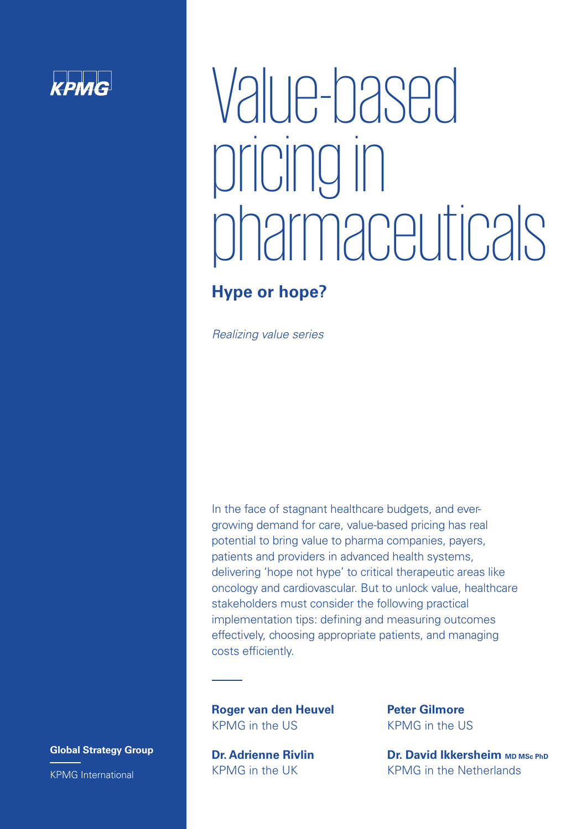## $k$ *phnc*

# Value-based pricing in pharmaceuticals

## **Hype or hope?**

Realizing value series

In the face of stagnant healthcare budgets, and evergrowing demand for care, value-based pricing has real potential to bring value to pharma companies, payers, patients and providers in advanced health systems, delivering 'hope not hype' to critical therapeutic areas like oncology and cardiovascular. But to unlock value, healthcare stakeholders must consider the following practical implementation tips: defining and measuring outcomes effectively, choosing appropriate patients, and managing costs efficiently.

**Roger van den Heuvel** KPMG in the US

**Dr. Adrienne Rivlin**  KPMG in the UK

**Peter Gilmore** KPMG in the US

**Dr. David Ikkersheim MD MSc PhD** KPMG in the Netherlands

**Global Strategy Group** KPMG International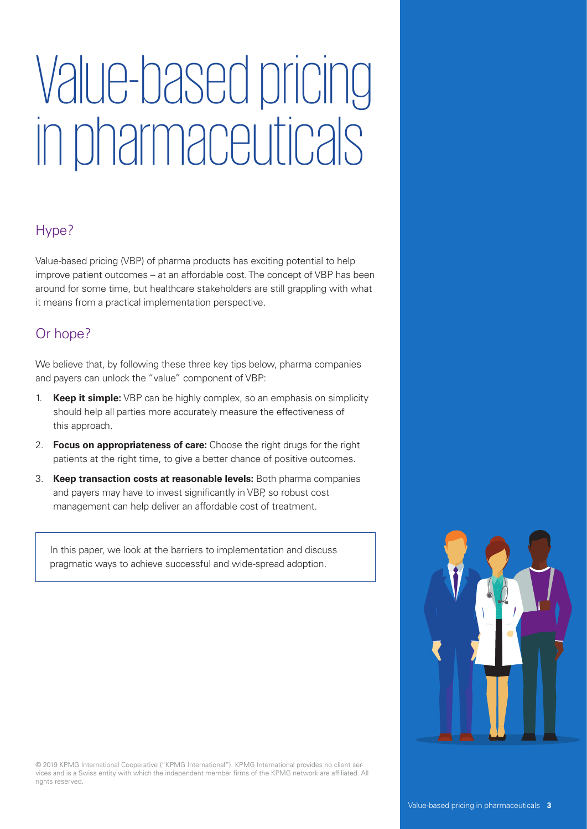# Value-based pricing in pharmaceuticals

### Hype?

Value-based pricing (VBP) of pharma products has exciting potential to help improve patient outcomes – at an affordable cost. The concept of VBP has been around for some time, but healthcare stakeholders are still grappling with what it means from a practical implementation perspective.

### Or hope?

We believe that, by following these three key tips below, pharma companies and payers can unlock the "value" component of VBP:

- 1. **Keep it simple:** VBP can be highly complex, so an emphasis on simplicity should help all parties more accurately measure the effectiveness of this approach.
- 2. **Focus on appropriateness of care:** Choose the right drugs for the right patients at the right time, to give a better chance of positive outcomes.
- 3. **Keep transaction costs at reasonable levels:** Both pharma companies and payers may have to invest significantly in VBP, so robust cost management can help deliver an affordable cost of treatment.

In this paper, we look at the barriers to implementation and discuss pragmatic ways to achieve successful and wide-spread adoption.

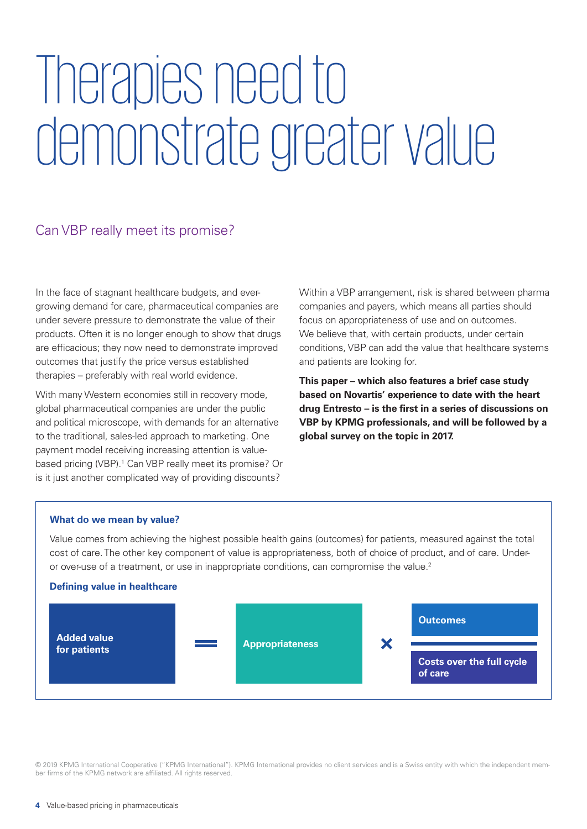# Therapies need to demonstrate greater value

#### Can VBP really meet its promise?

In the face of stagnant healthcare budgets, and evergrowing demand for care, pharmaceutical companies are under severe pressure to demonstrate the value of their products. Often it is no longer enough to show that drugs are efficacious; they now need to demonstrate improved outcomes that justify the price versus established therapies – preferably with real world evidence.

With many Western economies still in recovery mode, global pharmaceutical companies are under the public and political microscope, with demands for an alternative to the traditional, sales-led approach to marketing. One payment model receiving increasing attention is valuebased pricing (VBP).<sup>1</sup> Can VBP really meet its promise? Or is it just another complicated way of providing discounts?

Within a VBP arrangement, risk is shared between pharma companies and payers, which means all parties should focus on appropriateness of use and on outcomes. We believe that, with certain products, under certain conditions, VBP can add the value that healthcare systems and patients are looking for.

**This paper – which also features a brief case study based on Novartis' experience to date with the heart drug Entresto – is the first in a series of discussions on VBP by KPMG professionals, and will be followed by a global survey on the topic in 2017.**

#### **What do we mean by value?**

Value comes from achieving the highest possible health gains (outcomes) for patients, measured against the total cost of care. The other key component of value is appropriateness, both of choice of product, and of care. Underor over-use of a treatment, or use in inappropriate conditions, can compromise the value.2

#### **Defining value in healthcare**

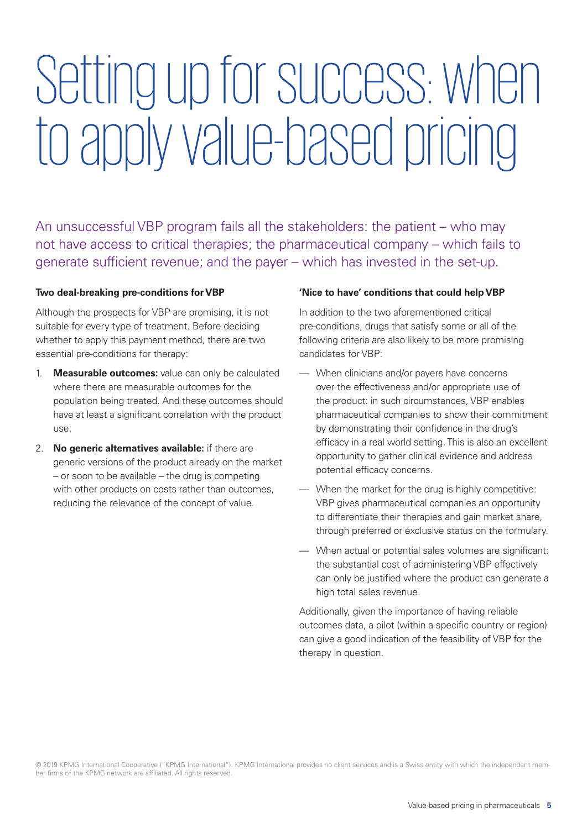# Setting up for success: when to apply value-based pricing

An unsuccessful VBP program fails all the stakeholders: the patient – who may not have access to critical therapies; the pharmaceutical company – which fails to generate sufficient revenue; and the payer – which has invested in the set-up.

#### **Two deal-breaking pre-conditions for VBP**

Although the prospects for VBP are promising, it is not suitable for every type of treatment. Before deciding whether to apply this payment method, there are two essential pre-conditions for therapy:

- 1. **Measurable outcomes:** value can only be calculated where there are measurable outcomes for the population being treated. And these outcomes should have at least a significant correlation with the product use.
- 2. **No generic alternatives available:** if there are generic versions of the product already on the market – or soon to be available – the drug is competing with other products on costs rather than outcomes, reducing the relevance of the concept of value.

#### **'Nice to have' conditions that could help VBP**

In addition to the two aforementioned critical pre-conditions, drugs that satisfy some or all of the following criteria are also likely to be more promising candidates for VBP:

- When clinicians and/or payers have concerns over the effectiveness and/or appropriate use of the product: in such circumstances, VBP enables pharmaceutical companies to show their commitment by demonstrating their confidence in the drug's efficacy in a real world setting. This is also an excellent opportunity to gather clinical evidence and address potential efficacy concerns.
- When the market for the drug is highly competitive: VBP gives pharmaceutical companies an opportunity to differentiate their therapies and gain market share, through preferred or exclusive status on the formulary.
- When actual or potential sales volumes are significant: the substantial cost of administering VBP effectively can only be justified where the product can generate a high total sales revenue.

Additionally, given the importance of having reliable outcomes data, a pilot (within a specific country or region) can give a good indication of the feasibility of VBP for the therapy in question.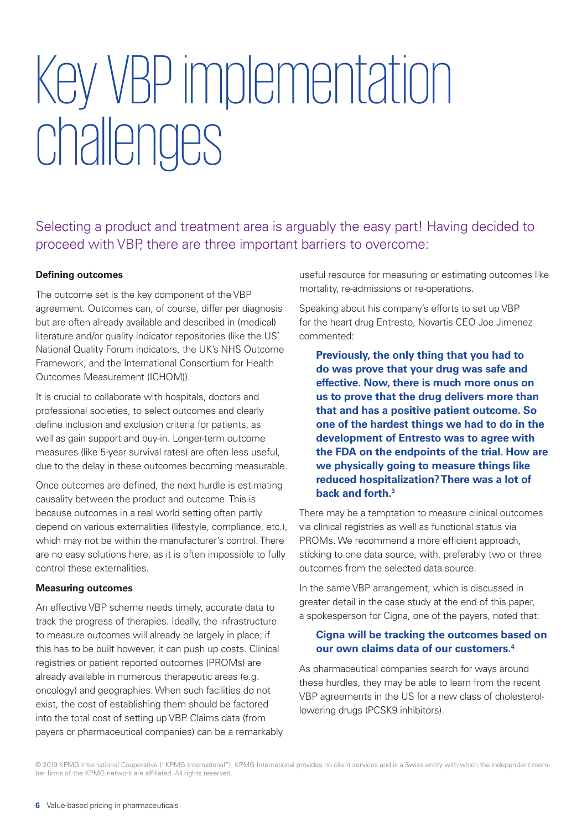# Key VBP implementation challenges

Selecting a product and treatment area is arguably the easy part! Having decided to proceed with VBP, there are three important barriers to overcome:

#### **Defining outcomes**

The outcome set is the key component of the VBP agreement. Outcomes can, of course, differ per diagnosis but are often already available and described in (medical) literature and/or quality indicator repositories (like the US' National Quality Forum indicators, the UK's NHS Outcome Framework, and the International Consortium for Health Outcomes Measurement (ICHOM)).

It is crucial to collaborate with hospitals, doctors and professional societies, to select outcomes and clearly define inclusion and exclusion criteria for patients, as well as gain support and buy-in. Longer-term outcome measures (like 5-year survival rates) are often less useful, due to the delay in these outcomes becoming measurable.

Once outcomes are defined, the next hurdle is estimating causality between the product and outcome. This is because outcomes in a real world setting often partly depend on various externalities (lifestyle, compliance, etc.), which may not be within the manufacturer's control. There are no easy solutions here, as it is often impossible to fully control these externalities.

#### **Measuring outcomes**

An effective VBP scheme needs timely, accurate data to track the progress of therapies. Ideally, the infrastructure to measure outcomes will already be largely in place; if this has to be built however, it can push up costs. Clinical registries or patient reported outcomes (PROMs) are already available in numerous therapeutic areas (e.g. oncology) and geographies. When such facilities do not exist, the cost of establishing them should be factored into the total cost of setting up VBP. Claims data (from payers or pharmaceutical companies) can be a remarkably useful resource for measuring or estimating outcomes like mortality, re-admissions or re-operations.

Speaking about his company's efforts to set up VBP for the heart drug Entresto, Novartis CEO Joe Jimenez commented:

**Previously, the only thing that you had to do was prove that your drug was safe and effective. Now, there is much more onus on us to prove that the drug delivers more than that and has a positive patient outcome. So one of the hardest things we had to do in the development of Entresto was to agree with the FDA on the endpoints of the trial. How are we physically going to measure things like reduced hospitalization? There was a lot of back and forth.3**

There may be a temptation to measure clinical outcomes via clinical registries as well as functional status via PROMs. We recommend a more efficient approach, sticking to one data source, with, preferably two or three outcomes from the selected data source.

In the same VBP arrangement, which is discussed in greater detail in the case study at the end of this paper, a spokesperson for Cigna, one of the payers, noted that:

#### **Cigna will be tracking the outcomes based on our own claims data of our customers.4**

As pharmaceutical companies search for ways around these hurdles, they may be able to learn from the recent VBP agreements in the US for a new class of cholesterollowering drugs (PCSK9 inhibitors).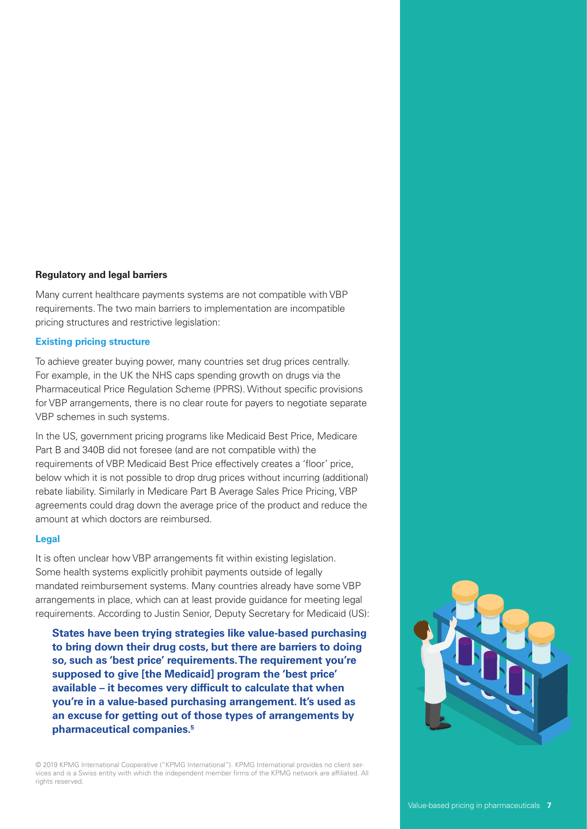#### **Regulatory and legal barriers**

Many current healthcare payments systems are not compatible with VBP requirements. The two main barriers to implementation are incompatible pricing structures and restrictive legislation:

#### **Existing pricing structure**

To achieve greater buying power, many countries set drug prices centrally. For example, in the UK the NHS caps spending growth on drugs via the Pharmaceutical Price Regulation Scheme (PPRS). Without specific provisions for VBP arrangements, there is no clear route for payers to negotiate separate VBP schemes in such systems.

In the US, government pricing programs like Medicaid Best Price, Medicare Part B and 340B did not foresee (and are not compatible with) the requirements of VBP. Medicaid Best Price effectively creates a 'floor' price, below which it is not possible to drop drug prices without incurring (additional) rebate liability. Similarly in Medicare Part B Average Sales Price Pricing, VBP agreements could drag down the average price of the product and reduce the amount at which doctors are reimbursed.

#### **Legal**

It is often unclear how VBP arrangements fit within existing legislation. Some health systems explicitly prohibit payments outside of legally mandated reimbursement systems. Many countries already have some VBP arrangements in place, which can at least provide guidance for meeting legal requirements. According to Justin Senior, Deputy Secretary for Medicaid (US):

 **States have been trying strategies like value-based purchasing to bring down their drug costs, but there are barriers to doing so, such as 'best price' requirements. The requirement you're supposed to give [the Medicaid] program the 'best price' available – it becomes very difficult to calculate that when you're in a value-based purchasing arrangement. It's used as an excuse for getting out of those types of arrangements by pharmaceutical companies.5**

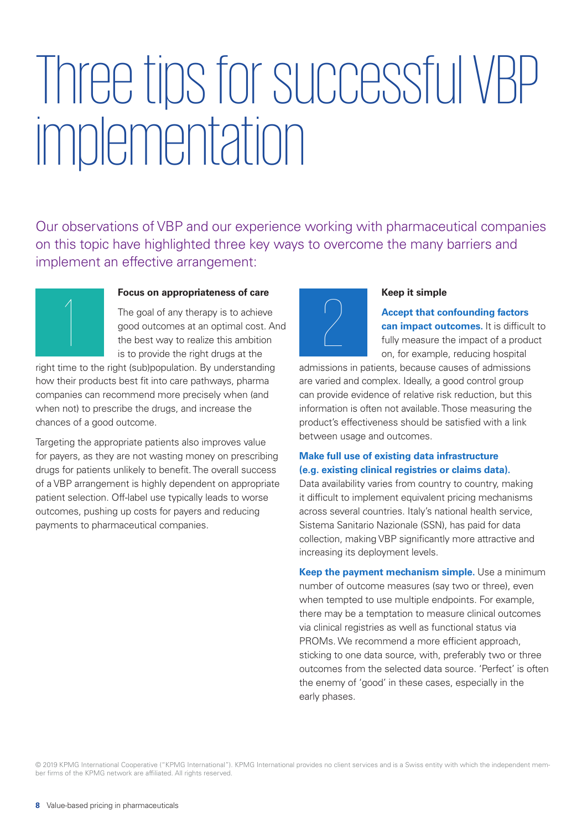# Three tips for successful VBP implementation

Our observations of VBP and our experience working with pharmaceutical companies on this topic have highlighted three key ways to overcome the many barriers and implement an effective arrangement:



#### **Focus on appropriateness of care**

The goal of any therapy is to achieve good outcomes at an optimal cost. And the best way to realize this ambition is to provide the right drugs at the

right time to the right (sub)population. By understanding how their products best fit into care pathways, pharma companies can recommend more precisely when (and when not) to prescribe the drugs, and increase the chances of a good outcome.

Targeting the appropriate patients also improves value for payers, as they are not wasting money on prescribing drugs for patients unlikely to benefit. The overall success of a VBP arrangement is highly dependent on appropriate patient selection. Off-label use typically leads to worse outcomes, pushing up costs for payers and reducing payments to pharmaceutical companies.



#### **Keep it simple**

**Accept that confounding factors can impact outcomes.** It is difficult to fully measure the impact of a product on, for example, reducing hospital

admissions in patients, because causes of admissions are varied and complex. Ideally, a good control group can provide evidence of relative risk reduction, but this information is often not available. Those measuring the product's effectiveness should be satisfied with a link between usage and outcomes.

#### **Make full use of existing data infrastructure (e.g. existing clinical registries or claims data).**

Data availability varies from country to country, making it difficult to implement equivalent pricing mechanisms across several countries. Italy's national health service, Sistema Sanitario Nazionale (SSN), has paid for data collection, making VBP significantly more attractive and increasing its deployment levels.

**Keep the payment mechanism simple.** Use a minimum number of outcome measures (say two or three), even when tempted to use multiple endpoints. For example, there may be a temptation to measure clinical outcomes via clinical registries as well as functional status via PROMs. We recommend a more efficient approach, sticking to one data source, with, preferably two or three outcomes from the selected data source. 'Perfect' is often the enemy of 'good' in these cases, especially in the early phases.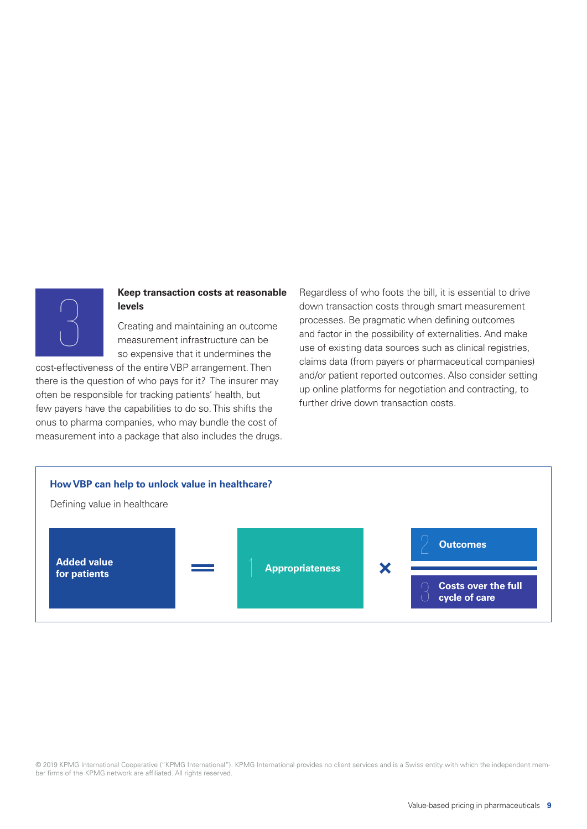

#### **Keep transaction costs at reasonable levels**

Creating and maintaining an outcome measurement infrastructure can be so expensive that it undermines the

cost-effectiveness of the entire VBP arrangement. Then there is the question of who pays for it? The insurer may often be responsible for tracking patients' health, but few payers have the capabilities to do so. This shifts the onus to pharma companies, who may bundle the cost of measurement into a package that also includes the drugs.

Regardless of who foots the bill, it is essential to drive down transaction costs through smart measurement processes. Be pragmatic when defining outcomes and factor in the possibility of externalities. And make use of existing data sources such as clinical registries, claims data (from payers or pharmaceutical companies) and/or patient reported outcomes. Also consider setting up online platforms for negotiation and contracting, to further drive down transaction costs.

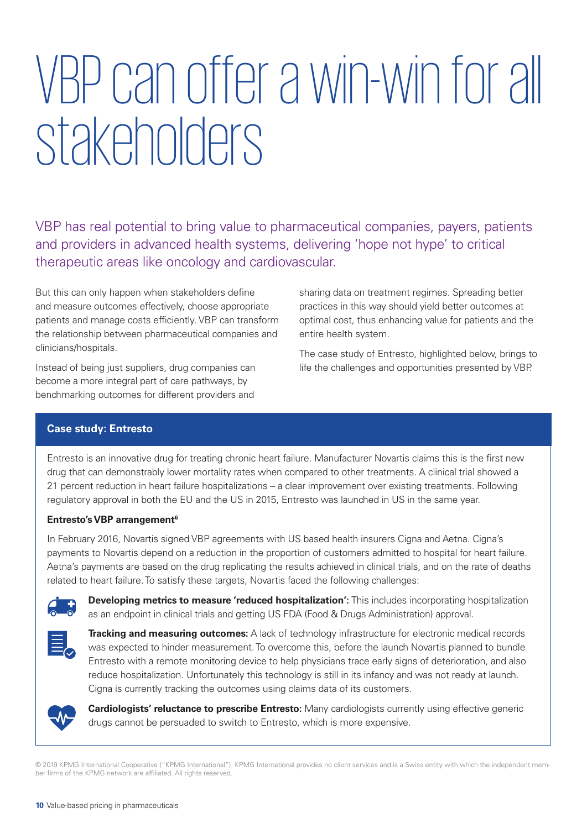# VBP can offer a win-win for all stakeholders

VBP has real potential to bring value to pharmaceutical companies, payers, patients and providers in advanced health systems, delivering 'hope not hype' to critical therapeutic areas like oncology and cardiovascular.

But this can only happen when stakeholders define and measure outcomes effectively, choose appropriate patients and manage costs efficiently. VBP can transform the relationship between pharmaceutical companies and clinicians/hospitals.

Instead of being just suppliers, drug companies can become a more integral part of care pathways, by benchmarking outcomes for different providers and

sharing data on treatment regimes. Spreading better practices in this way should yield better outcomes at optimal cost, thus enhancing value for patients and the entire health system.

The case study of Entresto, highlighted below, brings to life the challenges and opportunities presented by VBP.

#### **Case study: Entresto**

Entresto is an innovative drug for treating chronic heart failure. Manufacturer Novartis claims this is the first new drug that can demonstrably lower mortality rates when compared to other treatments. A clinical trial showed a 21 percent reduction in heart failure hospitalizations – a clear improvement over existing treatments. Following regulatory approval in both the EU and the US in 2015, Entresto was launched in US in the same year.

#### **Entresto's VBP arrangement6**

In February 2016, Novartis signed VBP agreements with US based health insurers Cigna and Aetna. Cigna's payments to Novartis depend on a reduction in the proportion of customers admitted to hospital for heart failure. Aetna's payments are based on the drug replicating the results achieved in clinical trials, and on the rate of deaths related to heart failure. To satisfy these targets, Novartis faced the following challenges:



**Developing metrics to measure 'reduced hospitalization':** This includes incorporating hospitalization as an endpoint in clinical trials and getting US FDA (Food & Drugs Administration) approval.



**Tracking and measuring outcomes:** A lack of technology infrastructure for electronic medical records was expected to hinder measurement. To overcome this, before the launch Novartis planned to bundle Entresto with a remote monitoring device to help physicians trace early signs of deterioration, and also reduce hospitalization. Unfortunately this technology is still in its infancy and was not ready at launch. Cigna is currently tracking the outcomes using claims data of its customers.



**Cardiologists' reluctance to prescribe Entresto:** Many cardiologists currently using effective generic drugs cannot be persuaded to switch to Entresto, which is more expensive.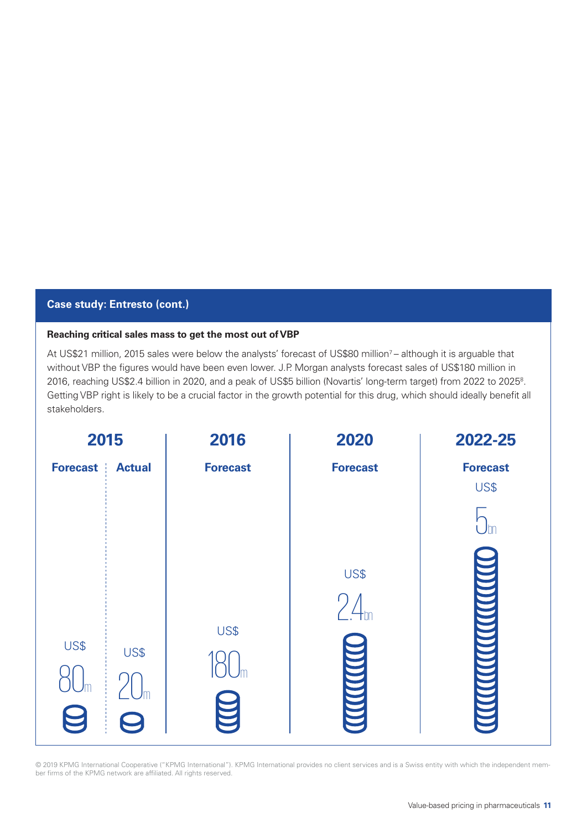#### **Case study: Entresto (cont.)**

#### **Reaching critical sales mass to get the most out of VBP**

At US\$21 million, 2015 sales were below the analysts' forecast of US\$80 million<sup>7</sup> – although it is arguable that without VBP the figures would have been even lower. J.P. Morgan analysts forecast sales of US\$180 million in 2016, reaching US\$2.4 billion in 2020, and a peak of US\$5 billion (Novartis' long-term target) from 2022 to 20258 . Getting VBP right is likely to be a crucial factor in the growth potential for this drug, which should ideally benefit all stakeholders.

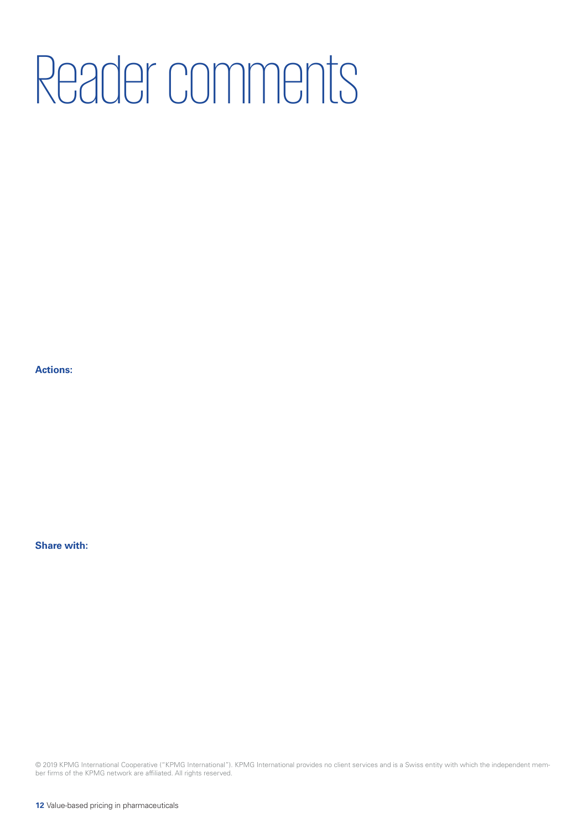# Reader comments

**Actions:**

**Share with:**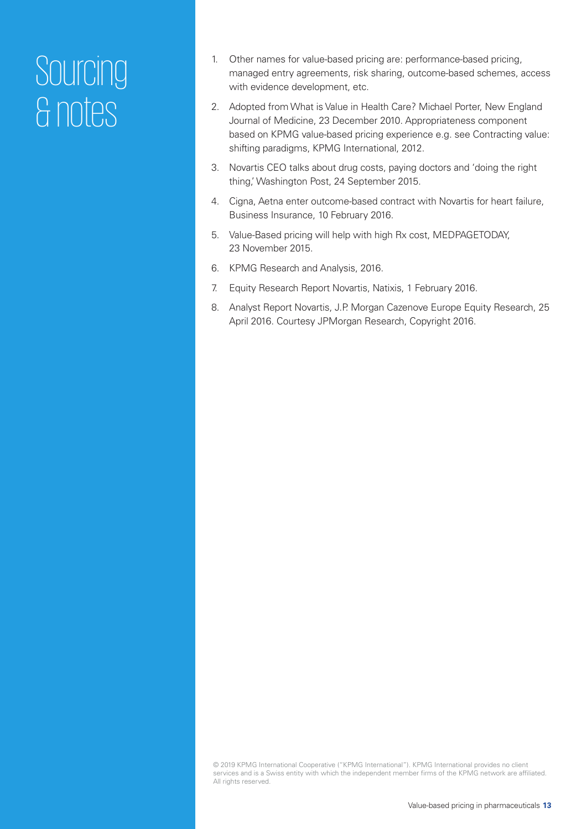# Sourcing & notes

- 1. Other names for value-based pricing are: performance-based pricing, managed entry agreements, risk sharing, outcome-based schemes, access with evidence development, etc.
- 2. Adopted from What is Value in Health Care? Michael Porter, New England Journal of Medicine, 23 December 2010. Appropriateness component based on KPMG value-based pricing experience e.g. see Contracting value: shifting paradigms, KPMG International, 2012.
- 3. Novartis CEO talks about drug costs, paying doctors and 'doing the right thing,' Washington Post, 24 September 2015.
- 4. Cigna, Aetna enter outcome-based contract with Novartis for heart failure, Business Insurance, 10 February 2016.
- 5. Value-Based pricing will help with high Rx cost, MEDPAGETODAY, 23 November 2015.
- 6. KPMG Research and Analysis, 2016.
- 7. Equity Research Report Novartis, Natixis, 1 February 2016.
- 8. Analyst Report Novartis, J.P. Morgan Cazenove Europe Equity Research, 25 April 2016. Courtesy JPMorgan Research, Copyright 2016.

<sup>© 2019</sup> KPMG International Cooperative ("KPMG International"). KPMG International provides no client services and is a Swiss entity with which the independent member firms of the KPMG network are affiliated. All rights reserved.